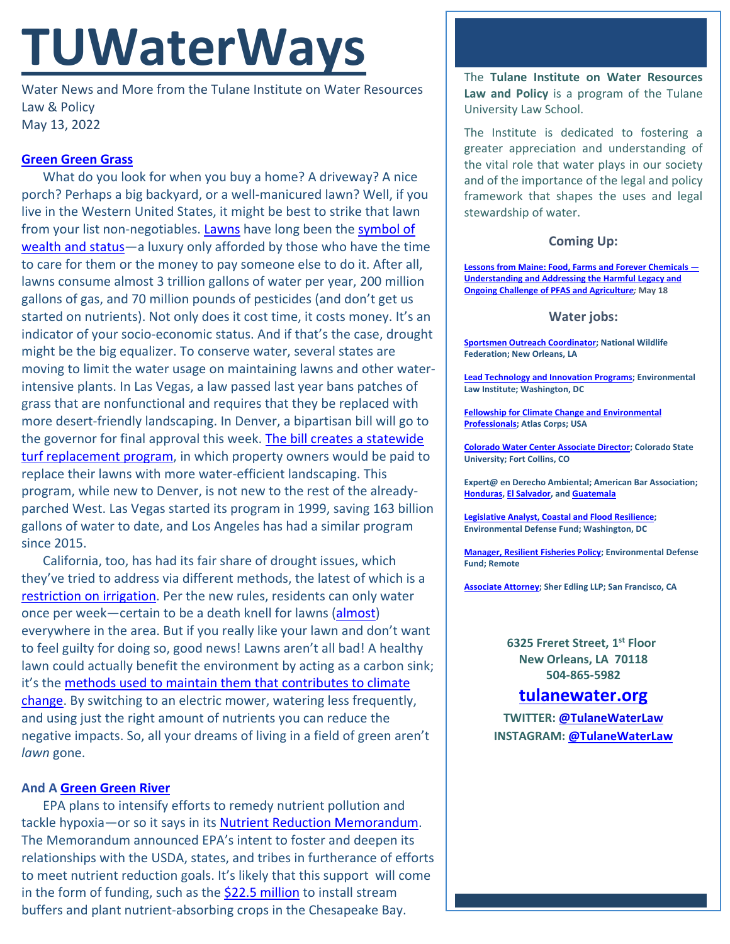# **TUWaterWays**

Water News and More from the Tulane Institute on Water Resources Law & Policy May 13, 2022

## **[Green Green Grass](https://www.youtube.com/watch?v=uvGvmsLQaHA)**

What do you look for when you buy a home? A driveway? A nice porch? Perhaps a big backyard, or a well-manicured lawn? Well, if you live in the Western United States, it might be best to strike that lawn from your list non-negotiables. [Lawns](https://www.history.com/news/lawn-mower-grass-american-dream) have long been the symbol of [wealth and status—](https://www.youtube.com/watch?v=ESpzX16QIQY)a luxury only afforded by those who have the time to care for them or the money to pay someone else to do it. After all, lawns consume almost 3 trillion gallons of water per year, 200 million gallons of gas, and 70 million pounds of pesticides (and don't get us started on nutrients). Not only does it cost time, it costs money. It's an indicator of your socio-economic status. And if that's the case, drought might be the big equalizer. To conserve water, several states are moving to limit the water usage on maintaining lawns and other waterintensive plants. In Las Vegas, a law passed last year bans patches of grass that are nonfunctional and requires that they be replaced with more desert-friendly landscaping. In Denver, a bipartisan bill will go to the governor for final approval this week. The bill creates a statewide [turf replacement program,](https://www.denverpost.com/2022/05/11/colorado-lawn-replacement-rebate-grass-drought-2/) in which property owners would be paid to replace their lawns with more water-efficient landscaping. This program, while new to Denver, is not new to the rest of the alreadyparched West. Las Vegas started its program in 1999, saving 163 billion gallons of water to date, and Los Angeles has had a similar program since 2015.

California, too, has had its fair share of drought issues, which they've tried to address via different methods, the latest of which is a [restriction on irrigation.](https://www.fastcompany.com/90751123/lawns-are-terrible-for-the-environment-californias-water-restrictions-may-finally-kill-them) Per the new rules, residents can only water once per week—certain to be a death knell for lawns [\(almost\)](https://www.youtube.com/watch?v=PEdLxCf4DCA) everywhere in the area. But if you really like your lawn and don't want to feel guilty for doing so, good news! Lawns aren't all bad! A healthy lawn could actually benefit the environment by acting as a carbon sink; it's the [methods used to maintain them that contributes to climate](https://psci.princeton.edu/tips/2020/5/11/law-maintenance-and-climate-change)  [change.](https://psci.princeton.edu/tips/2020/5/11/law-maintenance-and-climate-change) By switching to an electric mower, watering less frequently, and using just the right amount of nutrients you can reduce the negative impacts. So, all your dreams of living in a field of green aren't *lawn* gone.

## **And A [Green Green River](https://www.youtube.com/watch?v=L5V9nK7-OkM)**

EPA plans to intensify efforts to remedy nutrient pollution and tackle hypoxia—or so it says in its [Nutrient Reduction Memorandum.](https://www.epa.gov/system/files/documents/2022-04/accelerating-nutrient-reductions-4-2022.pdf) The Memorandum announced EPA's intent to foster and deepen its relationships with the USDA, states, and tribes in furtherance of efforts to meet nutrient reduction goals. It's likely that this support will come in the form of funding, such as the [\\$22.5 million](https://southernmarylandchronicle.com/2022/05/10/usda-announces-25-boost-in-chesapeake-spending/) to install stream buffers and plant nutrient-absorbing crops in the Chesapeake Bay.

The **Tulane Institute on Water Resources Law and Policy** is a program of the Tulane University Law School.

The Institute is dedicated to fostering a greater appreciation and understanding of the vital role that water plays in our society and of the importance of the legal and policy framework that shapes the uses and legal stewardship of water.

#### **Coming Up:**

**[Lessons from Maine: Food, Farms and Forever Chemicals —](https://us02web.zoom.us/webinar/register/7716503016375/WN_ywdHPioiQLShfqOysfq7kg) [Understanding and Addressing the Harmful Legacy and](https://us02web.zoom.us/webinar/register/7716503016375/WN_ywdHPioiQLShfqOysfq7kg)  [Ongoing Challenge of PFAS and Agricultur](https://us02web.zoom.us/webinar/register/7716503016375/WN_ywdHPioiQLShfqOysfq7kg)***e;* **May 18**

#### **Water jobs:**

**[Sportsmen Outreach Coordinator;](https://recruiting.ultipro.com/NAT1047NWF/JobBoard/1ca8346a-33cc-401d-90d9-d7f752fdfd7d/OpportunityDetail?opportunityId=6ab7c4a8-e58e-413c-9fee-065ae1e4aee2) National Wildlife Federation; New Orleans, LA**

**[Lead Technology and Innovation Programs;](https://workforcenow.adp.com/mascsr/default/mdf/recruitment/recruitment.html?cid=82bc5b12-ae17-4634-b907-3b62f1097668&ccId=19000101_000001&jobId=440384&source=CC2&lang=en_US) Environmental Law Institute; Washington, DC**

**[Fellowship for Climate Change and Environmental](https://atlascorps.org/atlas-corps-fellowship-for-climate-change-and-environmental-professionals/)  [Professionals;](https://atlascorps.org/atlas-corps-fellowship-for-climate-change-and-environmental-professionals/) Atlas Corps; USA**

**[Colorado Water Center Associate Director;](https://jobs.colostate.edu/postings/103021) Colorado State University; Fort Collins, CO**

**Expert@ en Derecho Ambiental; American Bar Association; [Honduras,](https://www.devex.com/jobs/experto-a-en-derecho-ambiental-honduras-environmental-law-expert-honduras-982971?q=https%3A%2F%2Fwww.devex.com%2Fjobs%2Fsearch%2F%3Ffilter%255Bkeywords%255D%255B%255D%3Denvironmental%26page%255Bnumber%255D%3D6%26sorting%255Bfield%255D%3Dupdated_at%26sorting%255Border%255D%3Ddesc) [El Salvador,](https://www.devex.com/jobs/experto-a-en-derecho-ambiental-el-salvador-environmental-law-expert-el-salvador-982959?q=https%3A%2F%2Fwww.devex.com%2Fjobs%2Fsearch%2F%3Ffilter%255Bkeywords%255D%255B%255D%3Denvironmental%26page%255Bnumber%255D%3D6%26sorting%255Bfield%255D%3Dupdated_at%26sorting%255Border%255D%3Ddesc) an[d Guatemala](https://www.devex.com/jobs/experto-a-en-derecho-ambiental-guatemala-environmental-law-expert-guatemala-982961?q=https%3A%2F%2Fwww.devex.com%2Fjobs%2Fsearch%2F%3Ffilter%255Bkeywords%255D%255B%255D%3Denvironmental%26page%255Bnumber%255D%3D6%26sorting%255Bfield%255D%3Dupdated_at%26sorting%255Border%255D%3Ddesc)**

**[Legislative Analyst, Coastal and Flood Resilience;](https://careers-edf.icims.com/jobs/3620/legislative-analyst%2c-coastal-and-flood-resilience/job?mobile=false&width=960&height=500&bga=true&needsRedirect=false&jan1offset=-360&jun1offset=-300) Environmental Defense Fund; Washington, DC**

**[Manager, Resilient Fisheries Policy;](https://www.edf.org/jobs/manager-resilient-fisheries-policy) Environmental Defense Fund; Remote**

**[Associate Attorney;](https://sheredling.bamboohr.com/jobs/view.php?id=29) Sher Edling LLP; San Francisco, CA**

**6325 Freret Street, 1st Floor New Orleans, LA 70118 504-865-5982**

# **tulanewater.org**

**TWITTER: [@TulaneWaterLaw](http://www.twitter.com/TulaneWaterLaw) INSTAGRAM: [@TulaneWaterLaw](https://www.instagram.com/tulanewaterlaw/)**